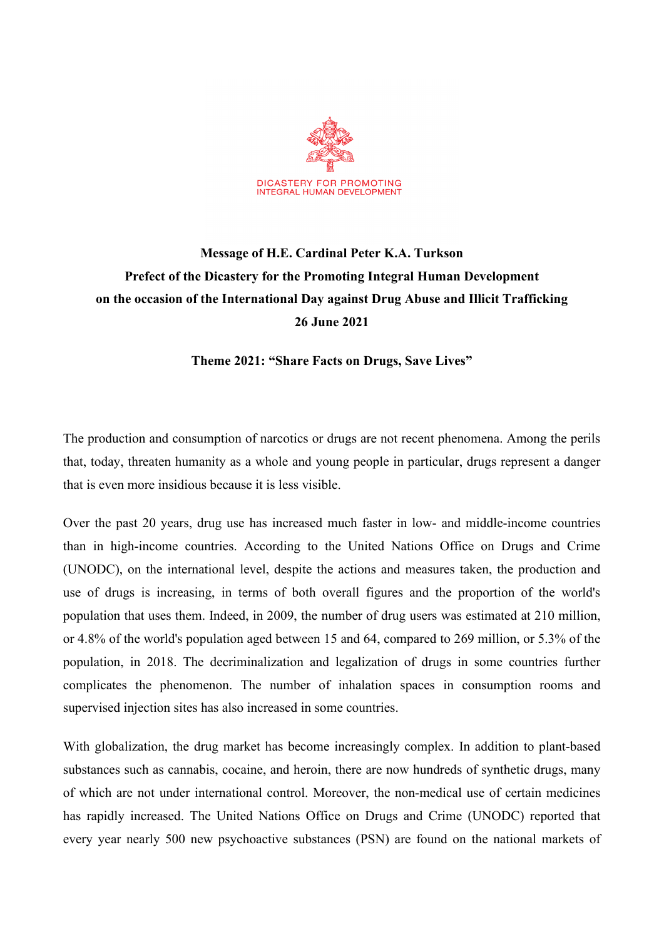

## **Message of H.E. Cardinal Peter K.A. Turkson Prefect of the Dicastery for the Promoting Integral Human Development on the occasion of the International Day against Drug Abuse and Illicit Trafficking 26 June 2021**

**Theme 2021: "Share Facts on Drugs, Save Lives"**

The production and consumption of narcotics or drugs are not recent phenomena. Among the perils that, today, threaten humanity as a whole and young people in particular, drugs represent a danger that is even more insidious because it is less visible.

Over the past 20 years, drug use has increased much faster in low- and middle-income countries than in high-income countries. According to the United Nations Office on Drugs and Crime (UNODC), on the international level, despite the actions and measures taken, the production and use of drugs is increasing, in terms of both overall figures and the proportion of the world's population that uses them. Indeed, in 2009, the number of drug users was estimated at 210 million, or 4.8% of the world's population aged between 15 and 64, compared to 269 million, or 5.3% of the population, in 2018. The decriminalization and legalization of drugs in some countries further complicates the phenomenon. The number of inhalation spaces in consumption rooms and supervised injection sites has also increased in some countries.

With globalization, the drug market has become increasingly complex. In addition to plant-based substances such as cannabis, cocaine, and heroin, there are now hundreds of synthetic drugs, many of which are not under international control. Moreover, the non-medical use of certain medicines has rapidly increased. The United Nations Office on Drugs and Crime (UNODC) reported that every year nearly 500 new psychoactive substances (PSN) are found on the national markets of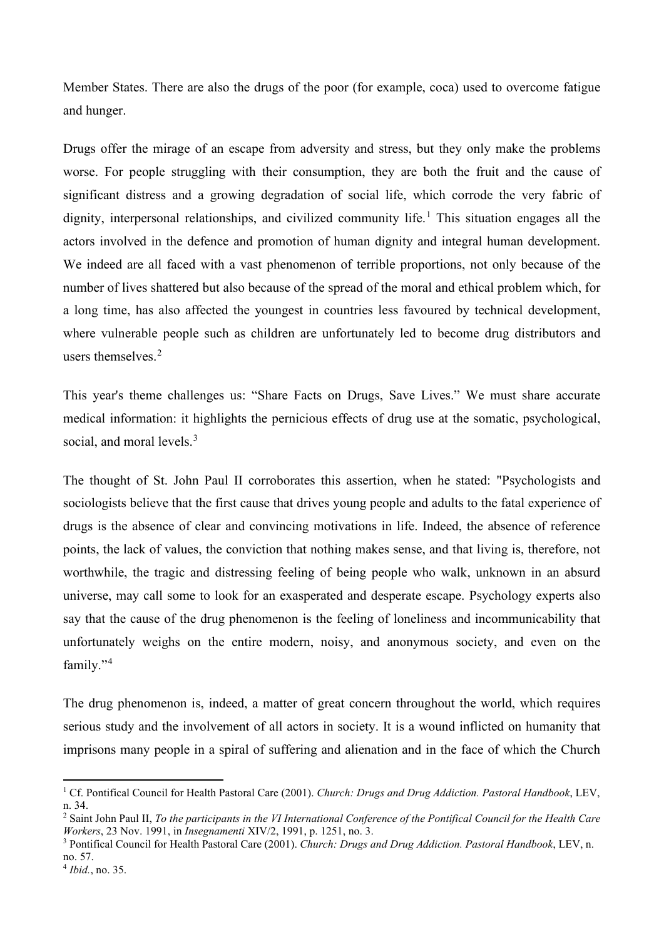Member States. There are also the drugs of the poor (for example, coca) used to overcome fatigue and hunger.

Drugs offer the mirage of an escape from adversity and stress, but they only make the problems worse. For people struggling with their consumption, they are both the fruit and the cause of significant distress and a growing degradation of social life, which corrode the very fabric of dignity, interpersonal relationships, and civilized community life. [1](#page-1-0) This situation engages all the actors involved in the defence and promotion of human dignity and integral human development. We indeed are all faced with a vast phenomenon of terrible proportions, not only because of the number of lives shattered but also because of the spread of the moral and ethical problem which, for a long time, has also affected the youngest in countries less favoured by technical development, where vulnerable people such as children are unfortunately led to become drug distributors and users themselves. [2](#page-1-1)

This year's theme challenges us: "Share Facts on Drugs, Save Lives." We must share accurate medical information: it highlights the pernicious effects of drug use at the somatic, psychological, social, and moral levels.<sup>[3](#page-1-2)</sup>

The thought of St. John Paul II corroborates this assertion, when he stated: "Psychologists and sociologists believe that the first cause that drives young people and adults to the fatal experience of drugs is the absence of clear and convincing motivations in life. Indeed, the absence of reference points, the lack of values, the conviction that nothing makes sense, and that living is, therefore, not worthwhile, the tragic and distressing feeling of being people who walk, unknown in an absurd universe, may call some to look for an exasperated and desperate escape. Psychology experts also say that the cause of the drug phenomenon is the feeling of loneliness and incommunicability that unfortunately weighs on the entire modern, noisy, and anonymous society, and even on the family."[4](#page-1-3)

The drug phenomenon is, indeed, a matter of great concern throughout the world, which requires serious study and the involvement of all actors in society. It is a wound inflicted on humanity that imprisons many people in a spiral of suffering and alienation and in the face of which the Church

<span id="page-1-0"></span><sup>1</sup> Cf. Pontifical Council for Health Pastoral Care (2001). *Church: Drugs and Drug Addiction. Pastoral Handbook*, LEV, n. 34.

<span id="page-1-1"></span><sup>2</sup> Saint John Paul II, *To the participants in the VI International Conference of the Pontifical Council for the Health Care Workers*, 23 Nov. 1991, in *Insegnamenti* XIV/2, 1991, p. 1251, no. 3.

<span id="page-1-2"></span><sup>3</sup> Pontifical Council for Health Pastoral Care (2001). *Church: Drugs and Drug Addiction. Pastoral Handbook*, LEV, n. no. 57.

<span id="page-1-3"></span><sup>4</sup> *Ibid.*, no. 35.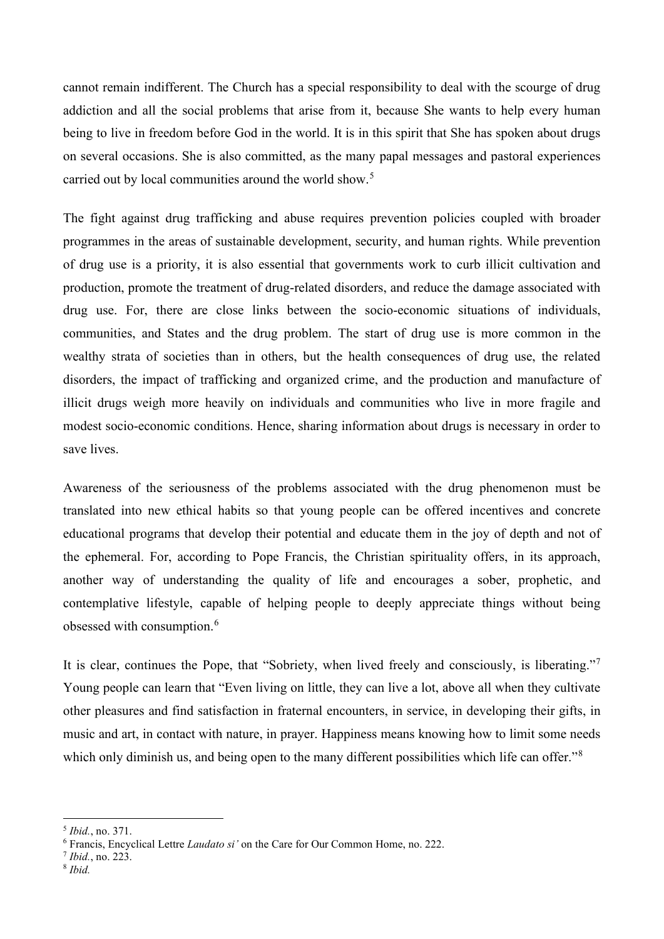cannot remain indifferent. The Church has a special responsibility to deal with the scourge of drug addiction and all the social problems that arise from it, because She wants to help every human being to live in freedom before God in the world. It is in this spirit that She has spoken about drugs on several occasions. She is also committed, as the many papal messages and pastoral experiences carried out by local communities around the world show.<sup>[5](#page-2-0)</sup>

The fight against drug trafficking and abuse requires prevention policies coupled with broader programmes in the areas of sustainable development, security, and human rights. While prevention of drug use is a priority, it is also essential that governments work to curb illicit cultivation and production, promote the treatment of drug-related disorders, and reduce the damage associated with drug use. For, there are close links between the socio-economic situations of individuals, communities, and States and the drug problem. The start of drug use is more common in the wealthy strata of societies than in others, but the health consequences of drug use, the related disorders, the impact of trafficking and organized crime, and the production and manufacture of illicit drugs weigh more heavily on individuals and communities who live in more fragile and modest socio-economic conditions. Hence, sharing information about drugs is necessary in order to save lives.

Awareness of the seriousness of the problems associated with the drug phenomenon must be translated into new ethical habits so that young people can be offered incentives and concrete educational programs that develop their potential and educate them in the joy of depth and not of the ephemeral. For, according to Pope Francis, the Christian spirituality offers, in its approach, another way of understanding the quality of life and encourages a sober, prophetic, and contemplative lifestyle, capable of helping people to deeply appreciate things without being obsessed with consumption.<sup>[6](#page-2-1)</sup>

It is clear, continues the Pope, that "Sobriety, when lived freely and consciously, is liberating."[7](#page-2-2) Young people can learn that "Even living on little, they can live a lot, above all when they cultivate other pleasures and find satisfaction in fraternal encounters, in service, in developing their gifts, in music and art, in contact with nature, in prayer. Happiness means knowing how to limit some needs which only diminish us, and being open to the many different possibilities which life can offer."<sup>[8](#page-2-3)</sup>

<span id="page-2-0"></span><sup>5</sup> *Ibid.*, no. 371.

<span id="page-2-1"></span><sup>6</sup> Francis, Encyclical Lettre *Laudato si'* on the Care for Our Common Home, no. 222.

<span id="page-2-2"></span><sup>7</sup> *Ibid.*, no. 223.

<span id="page-2-3"></span><sup>8</sup> *Ibid.*